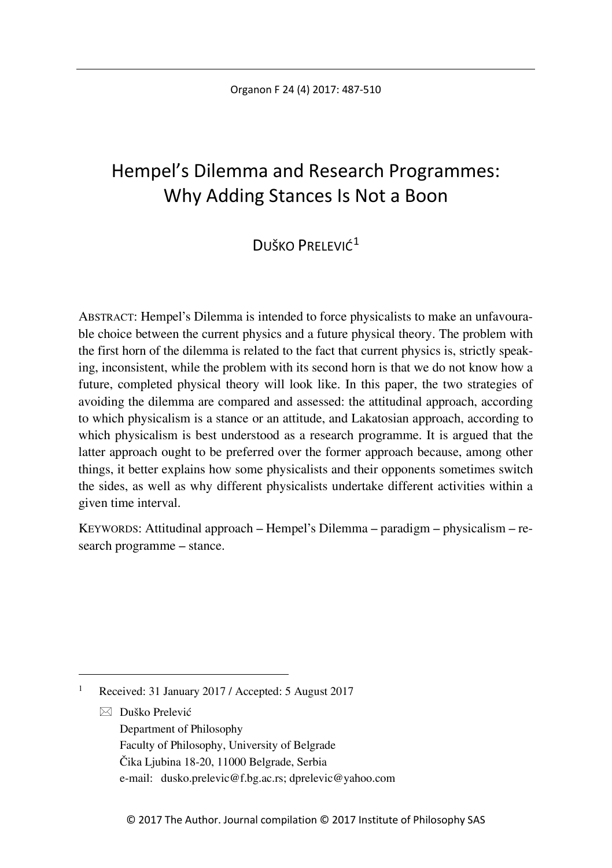# Hempel's Dilemma and Research Programmes: Why Adding Stances Is Not a Boon

## DUŠKO PRELEVIĆ<sup>[1](#page-0-0)</sup>

ABSTRACT: Hempel's Dilemma is intended to force physicalists to make an unfavourable choice between the current physics and a future physical theory. The problem with the first horn of the dilemma is related to the fact that current physics is, strictly speaking, inconsistent, while the problem with its second horn is that we do not know how a future, completed physical theory will look like. In this paper, the two strategies of avoiding the dilemma are compared and assessed: the attitudinal approach, according to which physicalism is a stance or an attitude, and Lakatosian approach, according to which physicalism is best understood as a research programme. It is argued that the latter approach ought to be preferred over the former approach because, among other things, it better explains how some physicalists and their opponents sometimes switch the sides, as well as why different physicalists undertake different activities within a given time interval.

KEYWORDS: Attitudinal approach – Hempel's Dilemma – paradigm – physicalism – research programme – stance.

 $\boxtimes$  Duško Prelević Department of Philosophy Faculty of Philosophy, University of Belgrade Čika Ljubina 18-20, 11000 Belgrade, Serbia e-mail: dusko.prelevic@f.bg.ac.rs; dprelevic@yahoo.com

<span id="page-0-0"></span> <sup>1</sup> Received: 31 January 2017 / Accepted: 5 August 2017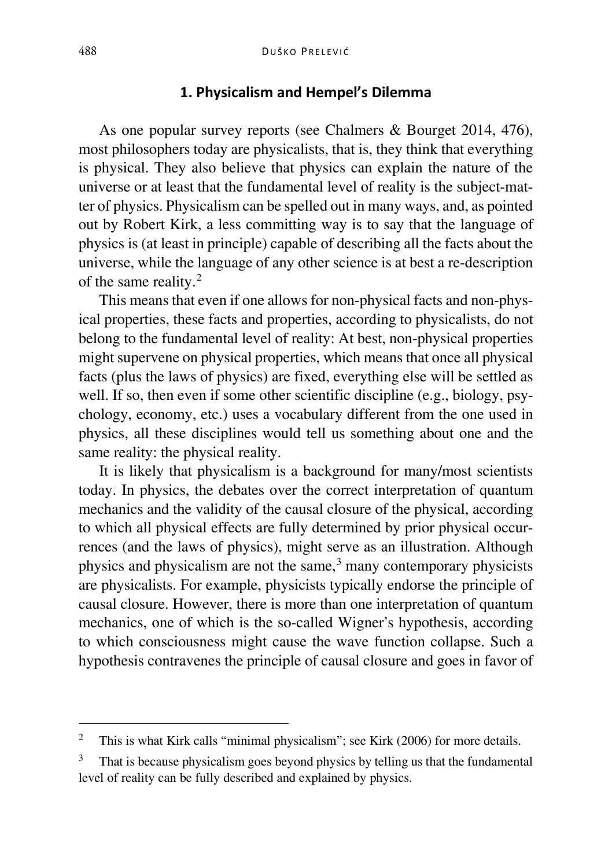#### **1. Physicalism and Hempel's Dilemma**

As one popular survey reports (see Chalmers & Bourget 2014, 476), most philosophers today are physicalists, that is, they think that everything is physical. They also believe that physics can explain the nature of the universe or at least that the fundamental level of reality is the subject-matter of physics. Physicalism can be spelled out in many ways, and, as pointed out by Robert Kirk, a less committing way is to say that the language of physics is (at least in principle) capable of describing all the facts about the universe, while the language of any other science is at best a re-description of the same reality.[2](#page-1-0)

This means that even if one allows for non-physical facts and non-physical properties, these facts and properties, according to physicalists, do not belong to the fundamental level of reality: At best, non-physical properties might supervene on physical properties, which means that once all physical facts (plus the laws of physics) are fixed, everything else will be settled as well. If so, then even if some other scientific discipline (e.g., biology, psychology, economy, etc.) uses a vocabulary different from the one used in physics, all these disciplines would tell us something about one and the same reality: the physical reality.

It is likely that physicalism is a background for many/most scientists today. In physics, the debates over the correct interpretation of quantum mechanics and the validity of the causal closure of the physical, according to which all physical effects are fully determined by prior physical occurrences (and the laws of physics), might serve as an illustration. Although physics and physicalism are not the same, $3$  many contemporary physicists are physicalists. For example, physicists typically endorse the principle of causal closure. However, there is more than one interpretation of quantum mechanics, one of which is the so-called Wigner's hypothesis, according to which consciousness might cause the wave function collapse. Such a hypothesis contravenes the principle of causal closure and goes in favor of

<span id="page-1-0"></span><sup>&</sup>lt;sup>2</sup> This is what Kirk calls "minimal physicalism"; see Kirk (2006) for more details.

<span id="page-1-1"></span><sup>&</sup>lt;sup>3</sup> That is because physicalism goes beyond physics by telling us that the fundamental level of reality can be fully described and explained by physics.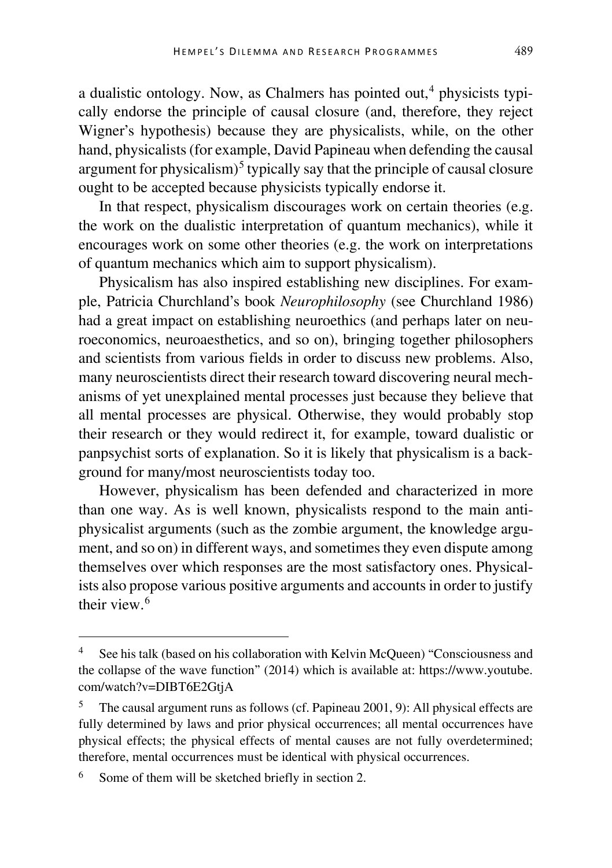a dualistic ontology. Now, as Chalmers has pointed out,  $4$  physicists typically endorse the principle of causal closure (and, therefore, they reject Wigner's hypothesis) because they are physicalists, while, on the other hand, physicalists (for example, David Papineau when defending the causal argument for physicalism)<sup>[5](#page-2-1)</sup> typically say that the principle of causal closure ought to be accepted because physicists typically endorse it.

In that respect, physicalism discourages work on certain theories (e.g. the work on the dualistic interpretation of quantum mechanics), while it encourages work on some other theories (e.g. the work on interpretations of quantum mechanics which aim to support physicalism).

Physicalism has also inspired establishing new disciplines. For example, Patricia Churchland's book *Neurophilosophy* (see Churchland 1986) had a great impact on establishing neuroethics (and perhaps later on neuroeconomics, neuroaesthetics, and so on), bringing together philosophers and scientists from various fields in order to discuss new problems. Also, many neuroscientists direct their research toward discovering neural mechanisms of yet unexplained mental processes just because they believe that all mental processes are physical. Otherwise, they would probably stop their research or they would redirect it, for example, toward dualistic or panpsychist sorts of explanation. So it is likely that physicalism is a background for many/most neuroscientists today too.

However, physicalism has been defended and characterized in more than one way. As is well known, physicalists respond to the main antiphysicalist arguments (such as the zombie argument, the knowledge argument, and so on) in different ways, and sometimes they even dispute among themselves over which responses are the most satisfactory ones. Physicalists also propose various positive arguments and accounts in order to justify their view.<sup>[6](#page-2-2)</sup>

<span id="page-2-0"></span>See his talk (based on his collaboration with Kelvin McQueen) "Consciousness and the collapse of the wave function" (2014) which is available at: https://www.youtube. com/watch?v=DIBT6E2GtjA

<span id="page-2-1"></span><sup>&</sup>lt;sup>5</sup> The causal argument runs as follows (cf. Papineau 2001, 9): All physical effects are fully determined by laws and prior physical occurrences; all mental occurrences have physical effects; the physical effects of mental causes are not fully overdetermined; therefore, mental occurrences must be identical with physical occurrences.

<span id="page-2-2"></span>Some of them will be sketched briefly in section 2.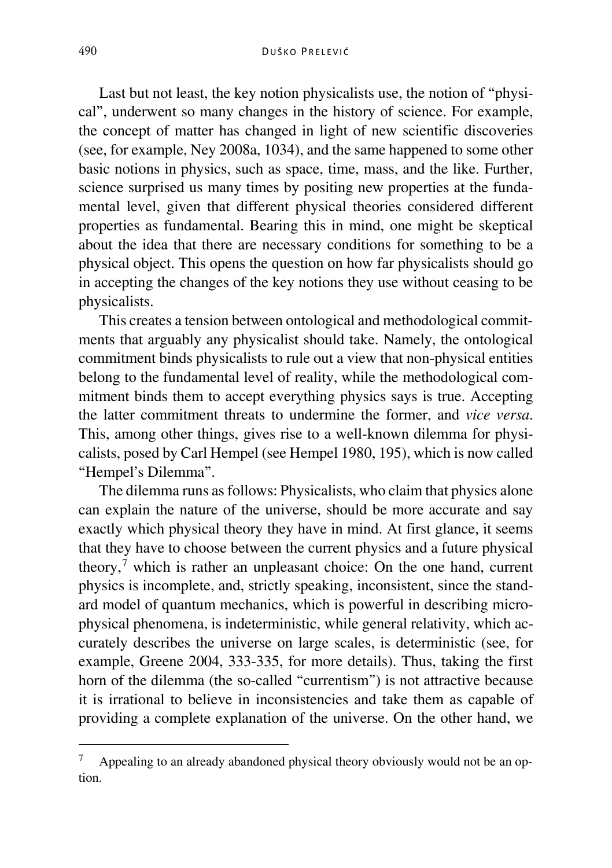Last but not least, the key notion physicalists use, the notion of "physical", underwent so many changes in the history of science. For example, the concept of matter has changed in light of new scientific discoveries (see, for example, Ney 2008a, 1034), and the same happened to some other basic notions in physics, such as space, time, mass, and the like. Further, science surprised us many times by positing new properties at the fundamental level, given that different physical theories considered different properties as fundamental. Bearing this in mind, one might be skeptical about the idea that there are necessary conditions for something to be a physical object. This opens the question on how far physicalists should go in accepting the changes of the key notions they use without ceasing to be physicalists.

This creates a tension between ontological and methodological commitments that arguably any physicalist should take. Namely, the ontological commitment binds physicalists to rule out a view that non-physical entities belong to the fundamental level of reality, while the methodological commitment binds them to accept everything physics says is true. Accepting the latter commitment threats to undermine the former, and *vice versa*. This, among other things, gives rise to a well-known dilemma for physicalists, posed by Carl Hempel (see Hempel 1980, 195), which is now called "Hempel's Dilemma".

The dilemma runs as follows: Physicalists, who claim that physics alone can explain the nature of the universe, should be more accurate and say exactly which physical theory they have in mind. At first glance, it seems that they have to choose between the current physics and a future physical theory,[7](#page-3-0) which is rather an unpleasant choice: On the one hand, current physics is incomplete, and, strictly speaking, inconsistent, since the standard model of quantum mechanics, which is powerful in describing microphysical phenomena, is indeterministic, while general relativity, which accurately describes the universe on large scales, is deterministic (see, for example, Greene 2004, 333-335, for more details). Thus, taking the first horn of the dilemma (the so-called "currentism") is not attractive because it is irrational to believe in inconsistencies and take them as capable of providing a complete explanation of the universe. On the other hand, we

<span id="page-3-0"></span><sup>&</sup>lt;sup>7</sup> Appealing to an already abandoned physical theory obviously would not be an option.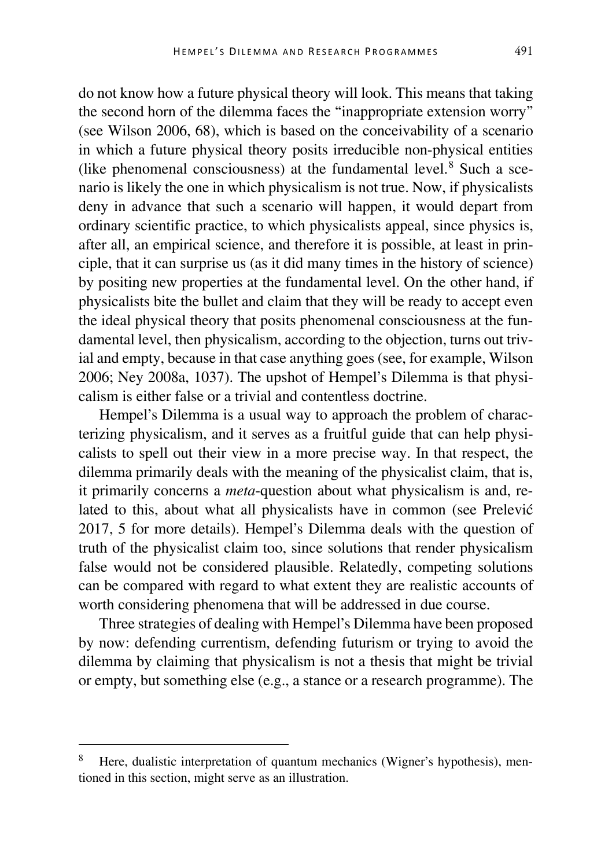do not know how a future physical theory will look. This means that taking the second horn of the dilemma faces the "inappropriate extension worry" (see Wilson 2006, 68), which is based on the conceivability of a scenario in which a future physical theory posits irreducible non-physical entities (like phenomenal consciousness) at the fundamental level. $8$  Such a scenario is likely the one in which physicalism is not true. Now, if physicalists deny in advance that such a scenario will happen, it would depart from ordinary scientific practice, to which physicalists appeal, since physics is, after all, an empirical science, and therefore it is possible, at least in principle, that it can surprise us (as it did many times in the history of science) by positing new properties at the fundamental level. On the other hand, if physicalists bite the bullet and claim that they will be ready to accept even the ideal physical theory that posits phenomenal consciousness at the fundamental level, then physicalism, according to the objection, turns out trivial and empty, because in that case anything goes (see, for example, Wilson 2006; Ney 2008a, 1037). The upshot of Hempel's Dilemma is that physicalism is either false or a trivial and contentless doctrine.

Hempel's Dilemma is a usual way to approach the problem of characterizing physicalism, and it serves as a fruitful guide that can help physicalists to spell out their view in a more precise way. In that respect, the dilemma primarily deals with the meaning of the physicalist claim, that is, it primarily concerns a *meta*-question about what physicalism is and, related to this, about what all physicalists have in common (see Prelević 2017, 5 for more details). Hempel's Dilemma deals with the question of truth of the physicalist claim too, since solutions that render physicalism false would not be considered plausible. Relatedly, competing solutions can be compared with regard to what extent they are realistic accounts of worth considering phenomena that will be addressed in due course.

Three strategies of dealing with Hempel's Dilemma have been proposed by now: defending currentism, defending futurism or trying to avoid the dilemma by claiming that physicalism is not a thesis that might be trivial or empty, but something else (e.g., a stance or a research programme). The

<span id="page-4-0"></span> <sup>8</sup> Here, dualistic interpretation of quantum mechanics (Wigner's hypothesis), mentioned in this section, might serve as an illustration.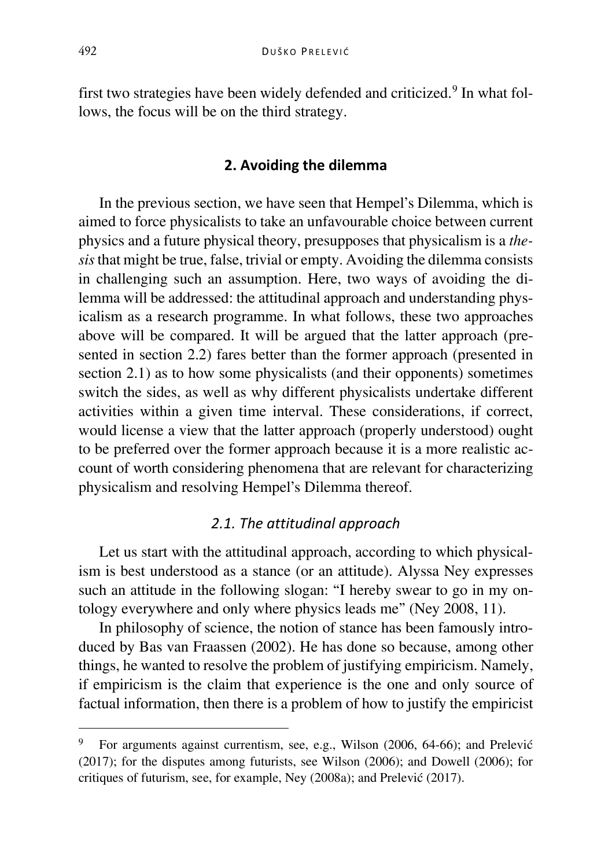first two strategies have been widely defended and criticized.<sup>[9](#page-5-0)</sup> In what follows, the focus will be on the third strategy.

## **2. Avoiding the dilemma**

In the previous section, we have seen that Hempel's Dilemma, which is aimed to force physicalists to take an unfavourable choice between current physics and a future physical theory, presupposes that physicalism is a *thesis*that might be true, false, trivial or empty. Avoiding the dilemma consists in challenging such an assumption. Here, two ways of avoiding the dilemma will be addressed: the attitudinal approach and understanding physicalism as a research programme. In what follows, these two approaches above will be compared. It will be argued that the latter approach (presented in section 2.2) fares better than the former approach (presented in section 2.1) as to how some physicalists (and their opponents) sometimes switch the sides, as well as why different physicalists undertake different activities within a given time interval. These considerations, if correct, would license a view that the latter approach (properly understood) ought to be preferred over the former approach because it is a more realistic account of worth considering phenomena that are relevant for characterizing physicalism and resolving Hempel's Dilemma thereof.

#### *2.1. The attitudinal approach*

Let us start with the attitudinal approach, according to which physicalism is best understood as a stance (or an attitude). Alyssa Ney expresses such an attitude in the following slogan: "I hereby swear to go in my ontology everywhere and only where physics leads me" (Ney 2008, 11).

In philosophy of science, the notion of stance has been famously introduced by Bas van Fraassen (2002). He has done so because, among other things, he wanted to resolve the problem of justifying empiricism. Namely, if empiricism is the claim that experience is the one and only source of factual information, then there is a problem of how to justify the empiricist

<span id="page-5-0"></span> <sup>9</sup> For arguments against currentism, see, e.g., Wilson (2006, 64-66); and Prelević (2017); for the disputes among futurists, see Wilson (2006); and Dowell (2006); for critiques of futurism, see, for example, Ney (2008a); and Prelević (2017).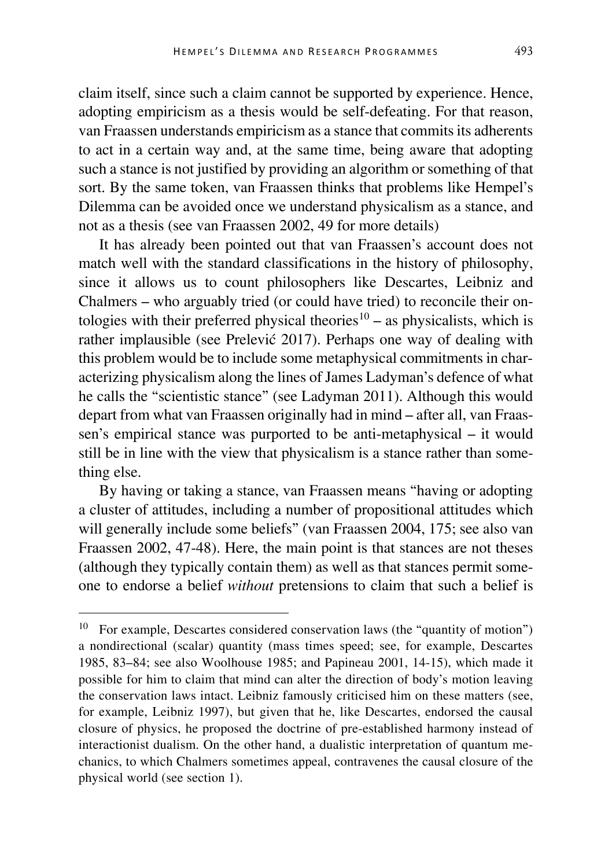claim itself, since such a claim cannot be supported by experience. Hence, adopting empiricism as a thesis would be self-defeating. For that reason, van Fraassen understands empiricism as a stance that commits its adherents to act in a certain way and, at the same time, being aware that adopting such a stance is not justified by providing an algorithm or something of that sort. By the same token, van Fraassen thinks that problems like Hempel's Dilemma can be avoided once we understand physicalism as a stance, and not as a thesis (see van Fraassen 2002, 49 for more details)

It has already been pointed out that van Fraassen's account does not match well with the standard classifications in the history of philosophy, since it allows us to count philosophers like Descartes, Leibniz and Chalmers ‒ who arguably tried (or could have tried) to reconcile their on-tologies with their preferred physical theories<sup>[10](#page-6-0)</sup> – as physicalists, which is rather implausible (see Prelević 2017). Perhaps one way of dealing with this problem would be to include some metaphysical commitments in characterizing physicalism along the lines of James Ladyman's defence of what he calls the "scientistic stance" (see Ladyman 2011). Although this would depart from what van Fraassen originally had in mind – after all, van Fraassen's empirical stance was purported to be anti-metaphysical – it would still be in line with the view that physicalism is a stance rather than something else.

By having or taking a stance, van Fraassen means "having or adopting a cluster of attitudes, including a number of propositional attitudes which will generally include some beliefs" (van Fraassen 2004, 175; see also van Fraassen 2002, 47-48). Here, the main point is that stances are not theses (although they typically contain them) as well as that stances permit someone to endorse a belief *without* pretensions to claim that such a belief is

<span id="page-6-0"></span><sup>&</sup>lt;sup>10</sup> For example, Descartes considered conservation laws (the "quantity of motion") a nondirectional (scalar) quantity (mass times speed; see, for example, Descartes 1985, 83–84; see also Woolhouse 1985; and Papineau 2001, 14-15), which made it possible for him to claim that mind can alter the direction of body's motion leaving the conservation laws intact. Leibniz famously criticised him on these matters (see, for example, Leibniz 1997), but given that he, like Descartes, endorsed the causal closure of physics, he proposed the doctrine of pre-established harmony instead of interactionist dualism. On the other hand, a dualistic interpretation of quantum mechanics, to which Chalmers sometimes appeal, contravenes the causal closure of the physical world (see section 1).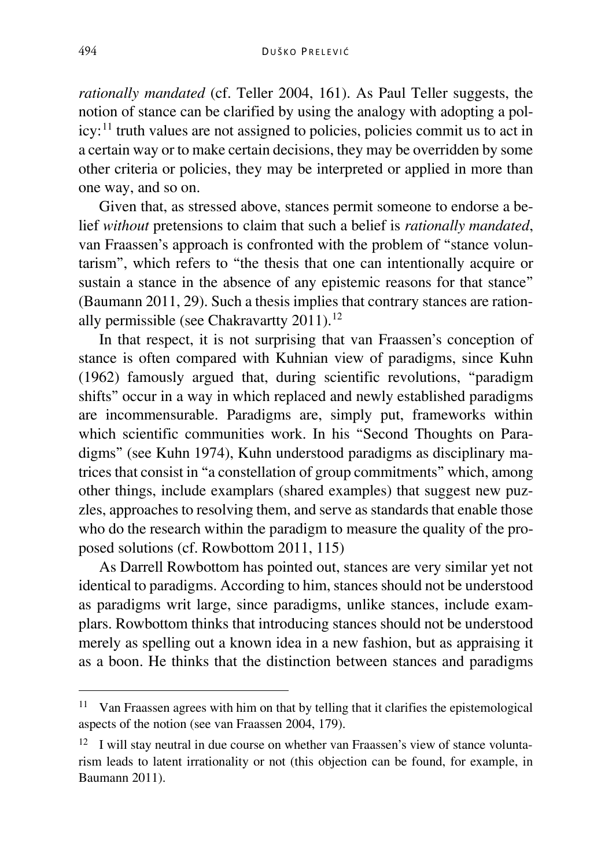*rationally mandated* (cf. Teller 2004, 161). As Paul Teller suggests, the notion of stance can be clarified by using the analogy with adopting a policy:[11](#page-7-0) truth values are not assigned to policies, policies commit us to act in a certain way or to make certain decisions, they may be overridden by some other criteria or policies, they may be interpreted or applied in more than one way, and so on.

Given that, as stressed above, stances permit someone to endorse a belief *without* pretensions to claim that such a belief is *rationally mandated*, van Fraassen's approach is confronted with the problem of "stance voluntarism", which refers to "the thesis that one can intentionally acquire or sustain a stance in the absence of any epistemic reasons for that stance" (Baumann 2011, 29). Such a thesis implies that contrary stances are rationally permissible (see Chakravartty  $2011$ ).<sup>[12](#page-7-1)</sup>

In that respect, it is not surprising that van Fraassen's conception of stance is often compared with Kuhnian view of paradigms, since Kuhn (1962) famously argued that, during scientific revolutions, "paradigm shifts" occur in a way in which replaced and newly established paradigms are incommensurable. Paradigms are, simply put, frameworks within which scientific communities work. In his "Second Thoughts on Paradigms" (see Kuhn 1974), Kuhn understood paradigms as disciplinary matrices that consist in "a constellation of group commitments" which, among other things, include examplars (shared examples) that suggest new puzzles, approaches to resolving them, and serve as standards that enable those who do the research within the paradigm to measure the quality of the proposed solutions (cf. Rowbottom 2011, 115)

As Darrell Rowbottom has pointed out, stances are very similar yet not identical to paradigms. According to him, stances should not be understood as paradigms writ large, since paradigms, unlike stances, include examplars. Rowbottom thinks that introducing stances should not be understood merely as spelling out a known idea in a new fashion, but as appraising it as a boon. He thinks that the distinction between stances and paradigms

<span id="page-7-0"></span><sup>&</sup>lt;sup>11</sup> Van Fraassen agrees with him on that by telling that it clarifies the epistemological aspects of the notion (see van Fraassen 2004, 179).

<span id="page-7-1"></span> $12$  I will stay neutral in due course on whether van Fraassen's view of stance voluntarism leads to latent irrationality or not (this objection can be found, for example, in Baumann 2011).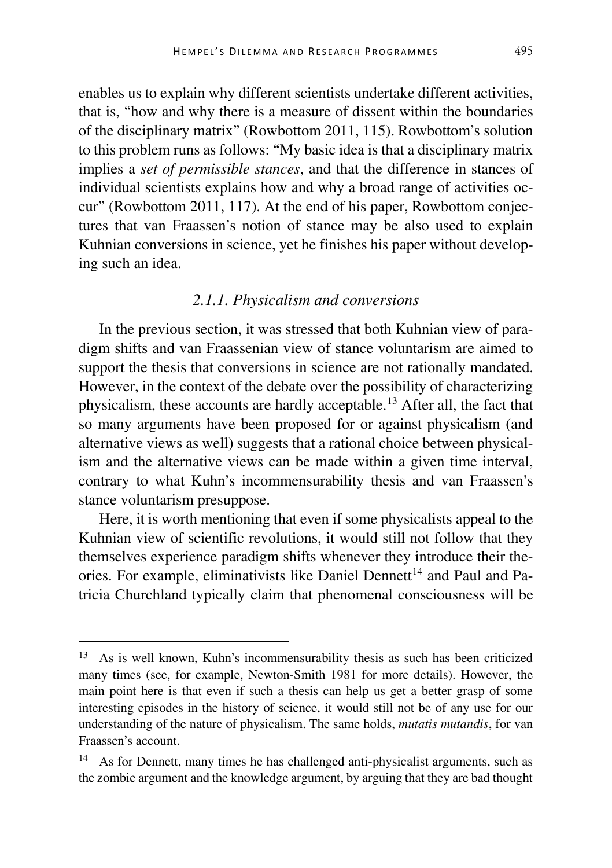enables us to explain why different scientists undertake different activities, that is, "how and why there is a measure of dissent within the boundaries of the disciplinary matrix" (Rowbottom 2011, 115). Rowbottom's solution to this problem runs as follows: "My basic idea is that a disciplinary matrix implies a *set of permissible stances*, and that the difference in stances of individual scientists explains how and why a broad range of activities occur" (Rowbottom 2011, 117). At the end of his paper, Rowbottom conjectures that van Fraassen's notion of stance may be also used to explain Kuhnian conversions in science, yet he finishes his paper without developing such an idea.

## *2.1.1. Physicalism and conversions*

In the previous section, it was stressed that both Kuhnian view of paradigm shifts and van Fraassenian view of stance voluntarism are aimed to support the thesis that conversions in science are not rationally mandated. However, in the context of the debate over the possibility of characterizing physicalism, these accounts are hardly acceptable.[13](#page-8-0) After all, the fact that so many arguments have been proposed for or against physicalism (and alternative views as well) suggests that a rational choice between physicalism and the alternative views can be made within a given time interval, contrary to what Kuhn's incommensurability thesis and van Fraassen's stance voluntarism presuppose.

Here, it is worth mentioning that even if some physicalists appeal to the Kuhnian view of scientific revolutions, it would still not follow that they themselves experience paradigm shifts whenever they introduce their the-ories. For example, eliminativists like Daniel Dennett<sup>[14](#page-8-1)</sup> and Paul and Patricia Churchland typically claim that phenomenal consciousness will be

<span id="page-8-0"></span> <sup>13</sup> As is well known, Kuhn's incommensurability thesis as such has been criticized many times (see, for example, Newton-Smith 1981 for more details). However, the main point here is that even if such a thesis can help us get a better grasp of some interesting episodes in the history of science, it would still not be of any use for our understanding of the nature of physicalism. The same holds, *mutatis mutandis*, for van Fraassen's account.

<span id="page-8-1"></span><sup>14</sup> As for Dennett, many times he has challenged anti-physicalist arguments, such as the zombie argument and the knowledge argument, by arguing that they are bad thought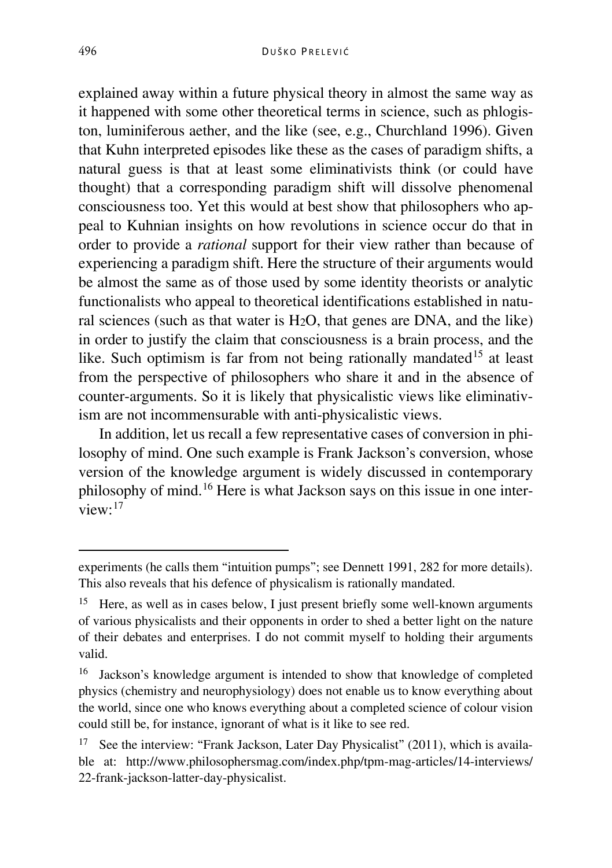explained away within a future physical theory in almost the same way as it happened with some other theoretical terms in science, such as phlogiston, luminiferous aether, and the like (see, e.g., Churchland 1996). Given that Kuhn interpreted episodes like these as the cases of paradigm shifts, a natural guess is that at least some eliminativists think (or could have thought) that a corresponding paradigm shift will dissolve phenomenal consciousness too. Yet this would at best show that philosophers who appeal to Kuhnian insights on how revolutions in science occur do that in order to provide a *rational* support for their view rather than because of experiencing a paradigm shift. Here the structure of their arguments would be almost the same as of those used by some identity theorists or analytic functionalists who appeal to theoretical identifications established in natural sciences (such as that water is H2O, that genes are DNA, and the like) in order to justify the claim that consciousness is a brain process, and the like. Such optimism is far from not being rationally mandated<sup>[15](#page-9-0)</sup> at least from the perspective of philosophers who share it and in the absence of counter-arguments. So it is likely that physicalistic views like eliminativism are not incommensurable with anti-physicalistic views.

In addition, let us recall a few representative cases of conversion in philosophy of mind. One such example is Frank Jackson's conversion, whose version of the knowledge argument is widely discussed in contemporary philosophy of mind.[16](#page-9-1) Here is what Jackson says on this issue in one interview $\cdot$ <sup>[17](#page-9-2)</sup>

experiments (he calls them "intuition pumps"; see Dennett 1991, 282 for more details). This also reveals that his defence of physicalism is rationally mandated.

<span id="page-9-0"></span><sup>&</sup>lt;sup>15</sup> Here, as well as in cases below, I just present briefly some well-known arguments of various physicalists and their opponents in order to shed a better light on the nature of their debates and enterprises. I do not commit myself to holding their arguments valid.

<span id="page-9-1"></span><sup>16</sup> Jackson's knowledge argument is intended to show that knowledge of completed physics (chemistry and neurophysiology) does not enable us to know everything about the world, since one who knows everything about a completed science of colour vision could still be, for instance, ignorant of what is it like to see red.

<span id="page-9-2"></span><sup>&</sup>lt;sup>17</sup> See the interview: "Frank Jackson, Later Day Physicalist" (2011), which is available at: http://www.philosophersmag.com/index.php/tpm-mag-articles/14-interviews/ 22-frank-jackson-latter-day-physicalist.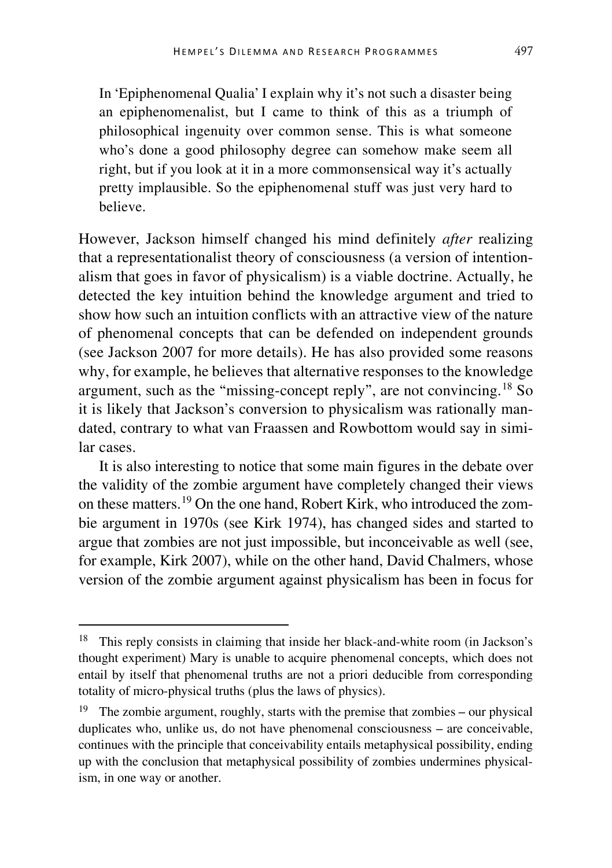In 'Epiphenomenal Qualia' I explain why it's not such a disaster being an epiphenomenalist, but I came to think of this as a triumph of philosophical ingenuity over common sense. This is what someone who's done a good philosophy degree can somehow make seem all right, but if you look at it in a more commonsensical way it's actually pretty implausible. So the epiphenomenal stuff was just very hard to believe.

However, Jackson himself changed his mind definitely *after* realizing that a representationalist theory of consciousness (a version of intentionalism that goes in favor of physicalism) is a viable doctrine. Actually, he detected the key intuition behind the knowledge argument and tried to show how such an intuition conflicts with an attractive view of the nature of phenomenal concepts that can be defended on independent grounds (see Jackson 2007 for more details). He has also provided some reasons why, for example, he believes that alternative responses to the knowledge argument, such as the "missing-concept reply", are not convincing.[18](#page-10-0) So it is likely that Jackson's conversion to physicalism was rationally mandated, contrary to what van Fraassen and Rowbottom would say in similar cases.

It is also interesting to notice that some main figures in the debate over the validity of the zombie argument have completely changed their views on these matters.[19](#page-10-1) On the one hand, Robert Kirk, who introduced the zombie argument in 1970s (see Kirk 1974), has changed sides and started to argue that zombies are not just impossible, but inconceivable as well (see, for example, Kirk 2007), while on the other hand, David Chalmers, whose version of the zombie argument against physicalism has been in focus for

<span id="page-10-0"></span> <sup>18</sup> This reply consists in claiming that inside her black-and-white room (in Jackson's thought experiment) Mary is unable to acquire phenomenal concepts, which does not entail by itself that phenomenal truths are not a priori deducible from corresponding totality of micro-physical truths (plus the laws of physics).

<span id="page-10-1"></span><sup>&</sup>lt;sup>19</sup> The zombie argument, roughly, starts with the premise that zombies – our physical duplicates who, unlike us, do not have phenomenal consciousness – are conceivable, continues with the principle that conceivability entails metaphysical possibility, ending up with the conclusion that metaphysical possibility of zombies undermines physicalism, in one way or another.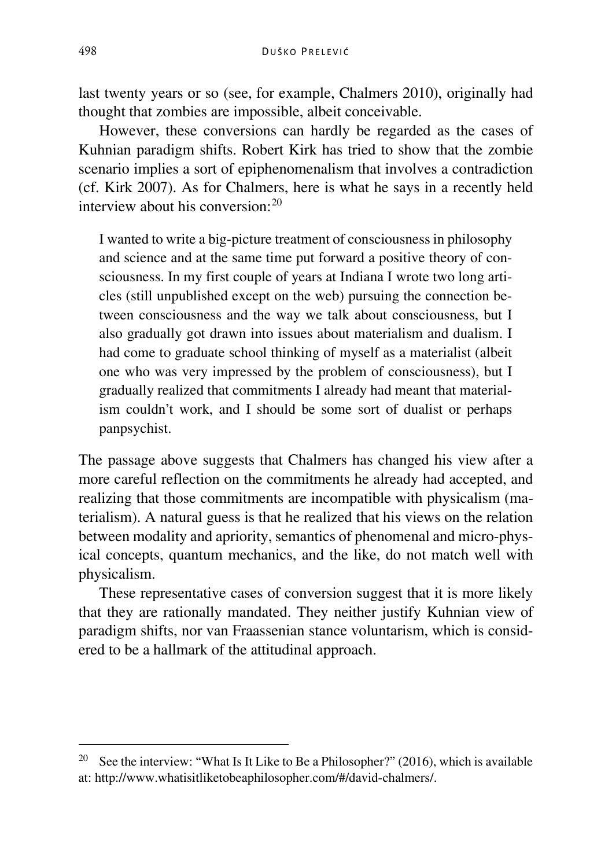last twenty years or so (see, for example, Chalmers 2010), originally had thought that zombies are impossible, albeit conceivable.

However, these conversions can hardly be regarded as the cases of Kuhnian paradigm shifts. Robert Kirk has tried to show that the zombie scenario implies a sort of epiphenomenalism that involves a contradiction (cf. Kirk 2007). As for Chalmers, here is what he says in a recently held interview about his conversion:[20](#page-11-0)

I wanted to write a big-picture treatment of consciousness in philosophy and science and at the same time put forward a positive theory of consciousness. In my first couple of years at Indiana I wrote two long articles (still unpublished except on the web) pursuing the connection between consciousness and the way we talk about consciousness, but I also gradually got drawn into issues about materialism and dualism. I had come to graduate school thinking of myself as a materialist (albeit one who was very impressed by the problem of consciousness), but I gradually realized that commitments I already had meant that materialism couldn't work, and I should be some sort of dualist or perhaps panpsychist.

The passage above suggests that Chalmers has changed his view after a more careful reflection on the commitments he already had accepted, and realizing that those commitments are incompatible with physicalism (materialism). A natural guess is that he realized that his views on the relation between modality and apriority, semantics of phenomenal and micro-physical concepts, quantum mechanics, and the like, do not match well with physicalism.

These representative cases of conversion suggest that it is more likely that they are rationally mandated. They neither justify Kuhnian view of paradigm shifts, nor van Fraassenian stance voluntarism, which is considered to be a hallmark of the attitudinal approach.

<span id="page-11-0"></span><sup>&</sup>lt;sup>20</sup> See the interview: "What Is It Like to Be a Philosopher?" (2016), which is available at: http://www.whatisitliketobeaphilosopher.com/#/david-chalmers/.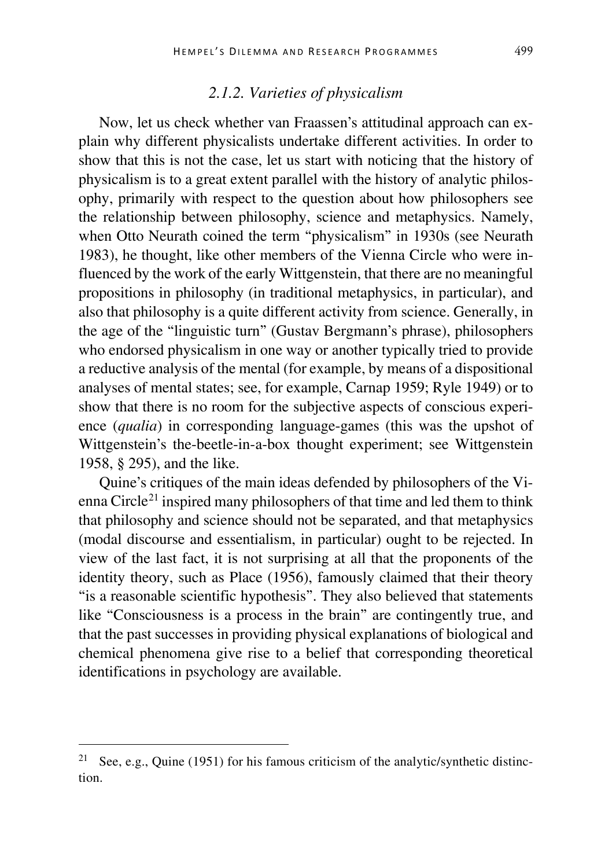## *2.1.2. Varieties of physicalism*

Now, let us check whether van Fraassen's attitudinal approach can explain why different physicalists undertake different activities. In order to show that this is not the case, let us start with noticing that the history of physicalism is to a great extent parallel with the history of analytic philosophy, primarily with respect to the question about how philosophers see the relationship between philosophy, science and metaphysics. Namely, when Otto Neurath coined the term "physicalism" in 1930s (see Neurath 1983), he thought, like other members of the Vienna Circle who were influenced by the work of the early Wittgenstein, that there are no meaningful propositions in philosophy (in traditional metaphysics, in particular), and also that philosophy is a quite different activity from science. Generally, in the age of the "linguistic turn" (Gustav Bergmann's phrase), philosophers who endorsed physicalism in one way or another typically tried to provide a reductive analysis of the mental (for example, by means of a dispositional analyses of mental states; see, for example, Carnap 1959; Ryle 1949) or to show that there is no room for the subjective aspects of conscious experience (*qualia*) in corresponding language-games (this was the upshot of Wittgenstein's the-beetle-in-a-box thought experiment; see Wittgenstein 1958, § 295), and the like.

Quine's critiques of the main ideas defended by philosophers of the Vi-enna Circle<sup>[21](#page-12-0)</sup> inspired many philosophers of that time and led them to think that philosophy and science should not be separated, and that metaphysics (modal discourse and essentialism, in particular) ought to be rejected. In view of the last fact, it is not surprising at all that the proponents of the identity theory, such as Place (1956), famously claimed that their theory "is a reasonable scientific hypothesis". They also believed that statements like "Consciousness is a process in the brain" are contingently true, and that the past successes in providing physical explanations of biological and chemical phenomena give rise to a belief that corresponding theoretical identifications in psychology are available.

<span id="page-12-0"></span><sup>&</sup>lt;sup>21</sup> See, e.g., Quine (1951) for his famous criticism of the analytic/synthetic distinction.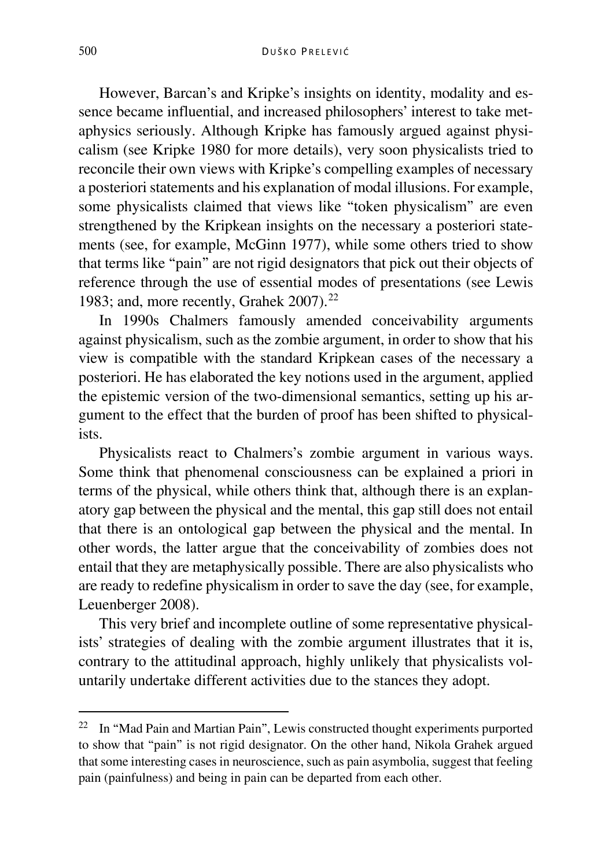However, Barcan's and Kripke's insights on identity, modality and essence became influential, and increased philosophers' interest to take metaphysics seriously. Although Kripke has famously argued against physicalism (see Kripke 1980 for more details), very soon physicalists tried to reconcile their own views with Kripke's compelling examples of necessary a posteriori statements and his explanation of modal illusions. For example, some physicalists claimed that views like "token physicalism" are even strengthened by the Kripkean insights on the necessary a posteriori statements (see, for example, McGinn 1977), while some others tried to show that terms like "pain" are not rigid designators that pick out their objects of reference through the use of essential modes of presentations (see Lewis 1983; and, more recently, Grahek 2007).<sup>[22](#page-13-0)</sup>

In 1990s Chalmers famously amended conceivability arguments against physicalism, such as the zombie argument, in order to show that his view is compatible with the standard Kripkean cases of the necessary a posteriori. He has elaborated the key notions used in the argument, applied the epistemic version of the two-dimensional semantics, setting up his argument to the effect that the burden of proof has been shifted to physicalists.

Physicalists react to Chalmers's zombie argument in various ways. Some think that phenomenal consciousness can be explained a priori in terms of the physical, while others think that, although there is an explanatory gap between the physical and the mental, this gap still does not entail that there is an ontological gap between the physical and the mental. In other words, the latter argue that the conceivability of zombies does not entail that they are metaphysically possible. There are also physicalists who are ready to redefine physicalism in order to save the day (see, for example, Leuenberger 2008).

This very brief and incomplete outline of some representative physicalists' strategies of dealing with the zombie argument illustrates that it is, contrary to the attitudinal approach, highly unlikely that physicalists voluntarily undertake different activities due to the stances they adopt.

<span id="page-13-0"></span> <sup>22</sup> In "Mad Pain and Martian Pain", Lewis constructed thought experiments purported to show that "pain" is not rigid designator. On the other hand, Nikola Grahek argued that some interesting cases in neuroscience, such as pain asymbolia, suggest that feeling pain (painfulness) and being in pain can be departed from each other.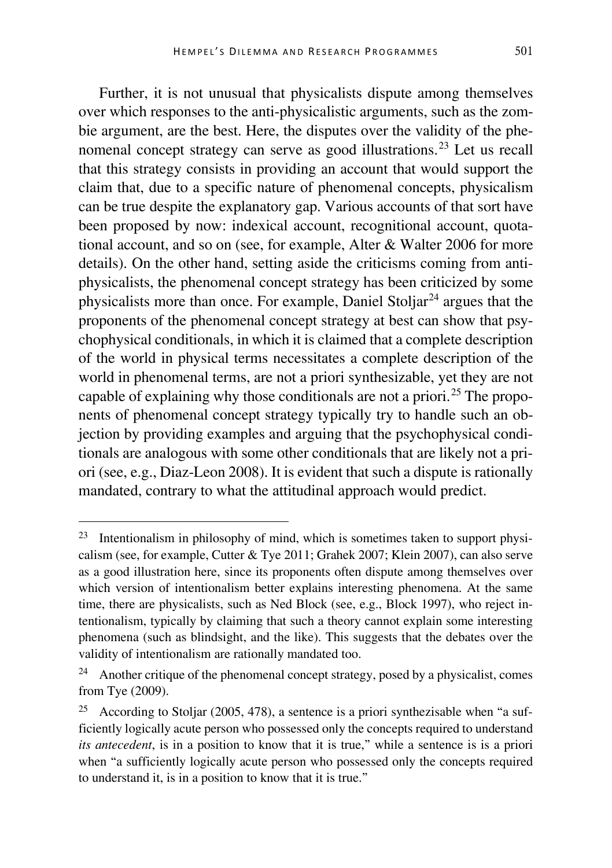Further, it is not unusual that physicalists dispute among themselves over which responses to the anti-physicalistic arguments, such as the zombie argument, are the best. Here, the disputes over the validity of the phe-nomenal concept strategy can serve as good illustrations.<sup>[23](#page-14-0)</sup> Let us recall that this strategy consists in providing an account that would support the claim that, due to a specific nature of phenomenal concepts, physicalism can be true despite the explanatory gap. Various accounts of that sort have been proposed by now: indexical account, recognitional account, quotational account, and so on (see, for example, Alter & Walter 2006 for more details). On the other hand, setting aside the criticisms coming from antiphysicalists, the phenomenal concept strategy has been criticized by some physicalists more than once. For example, Daniel Stoljar<sup>[24](#page-14-1)</sup> argues that the proponents of the phenomenal concept strategy at best can show that psychophysical conditionals, in which it is claimed that a complete description of the world in physical terms necessitates a complete description of the world in phenomenal terms, are not a priori synthesizable, yet they are not capable of explaining why those conditionals are not a priori.<sup>[25](#page-14-2)</sup> The proponents of phenomenal concept strategy typically try to handle such an objection by providing examples and arguing that the psychophysical conditionals are analogous with some other conditionals that are likely not a priori (see, e.g., Diaz-Leon 2008). It is evident that such a dispute is rationally mandated, contrary to what the attitudinal approach would predict.

<span id="page-14-0"></span> <sup>23</sup> Intentionalism in philosophy of mind, which is sometimes taken to support physicalism (see, for example, Cutter & Tye 2011; Grahek 2007; Klein 2007), can also serve as a good illustration here, since its proponents often dispute among themselves over which version of intentionalism better explains interesting phenomena. At the same time, there are physicalists, such as Ned Block (see, e.g., Block 1997), who reject intentionalism, typically by claiming that such a theory cannot explain some interesting phenomena (such as blindsight, and the like). This suggests that the debates over the validity of intentionalism are rationally mandated too.

<span id="page-14-1"></span> $24$  Another critique of the phenomenal concept strategy, posed by a physicalist, comes from Tye (2009).

<span id="page-14-2"></span><sup>&</sup>lt;sup>25</sup> According to Stoljar (2005, 478), a sentence is a priori synthezisable when "a sufficiently logically acute person who possessed only the concepts required to understand *its antecedent*, is in a position to know that it is true," while a sentence is is a priori when "a sufficiently logically acute person who possessed only the concepts required to understand it, is in a position to know that it is true."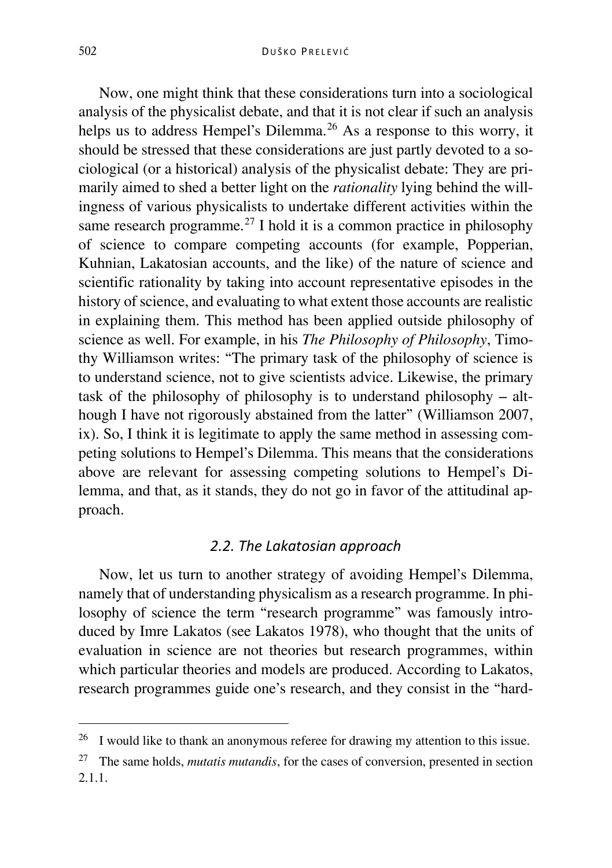Now, one might think that these considerations turn into a sociological analysis of the physicalist debate, and that it is not clear if such an analysis helps us to address Hempel's Dilemma.<sup>[26](#page-15-0)</sup> As a response to this worry, it should be stressed that these considerations are just partly devoted to a sociological (or a historical) analysis of the physicalist debate: They are primarily aimed to shed a better light on the *rationality* lying behind the willingness of various physicalists to undertake different activities within the same research programme.<sup>[27](#page-15-1)</sup> I hold it is a common practice in philosophy of science to compare competing accounts (for example, Popperian, Kuhnian, Lakatosian accounts, and the like) of the nature of science and scientific rationality by taking into account representative episodes in the history of science, and evaluating to what extent those accounts are realistic in explaining them. This method has been applied outside philosophy of science as well. For example, in his *The Philosophy of Philosophy*, Timothy Williamson writes: "The primary task of the philosophy of science is to understand science, not to give scientists advice. Likewise, the primary task of the philosophy of philosophy is to understand philosophy  $-$  although I have not rigorously abstained from the latter" (Williamson 2007, ix). So, I think it is legitimate to apply the same method in assessing competing solutions to Hempel's Dilemma. This means that the considerations above are relevant for assessing competing solutions to Hempel's Dilemma, and that, as it stands, they do not go in favor of the attitudinal approach.

## *2.2. The Lakatosian approach*

Now, let us turn to another strategy of avoiding Hempel's Dilemma, namely that of understanding physicalism as a research programme. In philosophy of science the term "research programme" was famously introduced by Imre Lakatos (see Lakatos 1978), who thought that the units of evaluation in science are not theories but research programmes, within which particular theories and models are produced. According to Lakatos, research programmes guide one's research, and they consist in the "hard-

<span id="page-15-0"></span><sup>&</sup>lt;sup>26</sup> I would like to thank an anonymous referee for drawing my attention to this issue.

<span id="page-15-1"></span><sup>27</sup> The same holds, *mutatis mutandis*, for the cases of conversion, presented in section 2.1.1.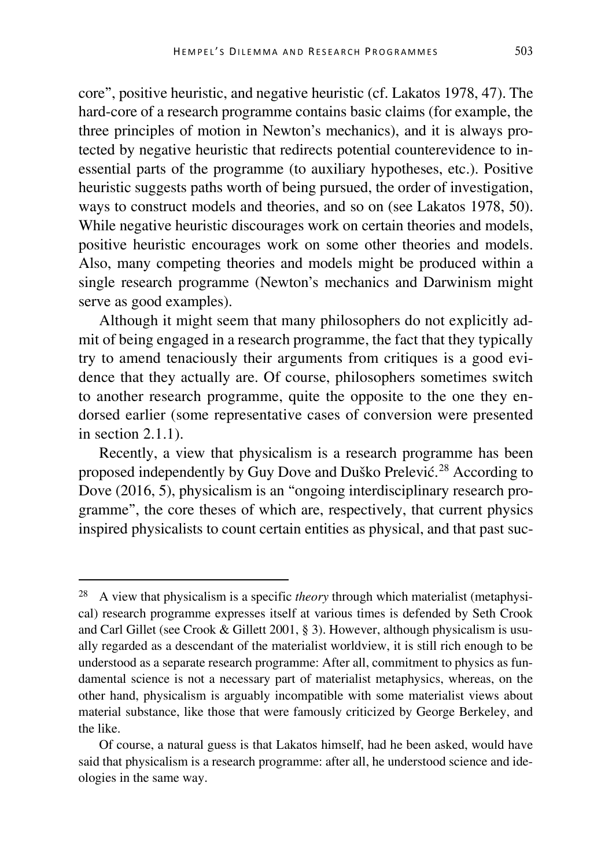core", positive heuristic, and negative heuristic (cf. Lakatos 1978, 47). The hard-core of a research programme contains basic claims (for example, the three principles of motion in Newton's mechanics), and it is always protected by negative heuristic that redirects potential counterevidence to inessential parts of the programme (to auxiliary hypotheses, etc.). Positive heuristic suggests paths worth of being pursued, the order of investigation, ways to construct models and theories, and so on (see Lakatos 1978, 50). While negative heuristic discourages work on certain theories and models, positive heuristic encourages work on some other theories and models. Also, many competing theories and models might be produced within a single research programme (Newton's mechanics and Darwinism might serve as good examples).

Although it might seem that many philosophers do not explicitly admit of being engaged in a research programme, the fact that they typically try to amend tenaciously their arguments from critiques is a good evidence that they actually are. Of course, philosophers sometimes switch to another research programme, quite the opposite to the one they endorsed earlier (some representative cases of conversion were presented in section 2.1.1).

Recently, a view that physicalism is a research programme has been proposed independently by Guy Dove and Duško Prelević.<sup>[28](#page-16-0)</sup> According to Dove (2016, 5), physicalism is an "ongoing interdisciplinary research programme", the core theses of which are, respectively, that current physics inspired physicalists to count certain entities as physical, and that past suc-

<span id="page-16-0"></span> <sup>28</sup> A view that physicalism is a specific *theory* through which materialist (metaphysical) research programme expresses itself at various times is defended by Seth Crook and Carl Gillet (see Crook & Gillett 2001, § 3). However, although physicalism is usually regarded as a descendant of the materialist worldview, it is still rich enough to be understood as a separate research programme: After all, commitment to physics as fundamental science is not a necessary part of materialist metaphysics, whereas, on the other hand, physicalism is arguably incompatible with some materialist views about material substance, like those that were famously criticized by George Berkeley, and the like.

Of course, a natural guess is that Lakatos himself, had he been asked, would have said that physicalism is a research programme: after all, he understood science and ideologies in the same way.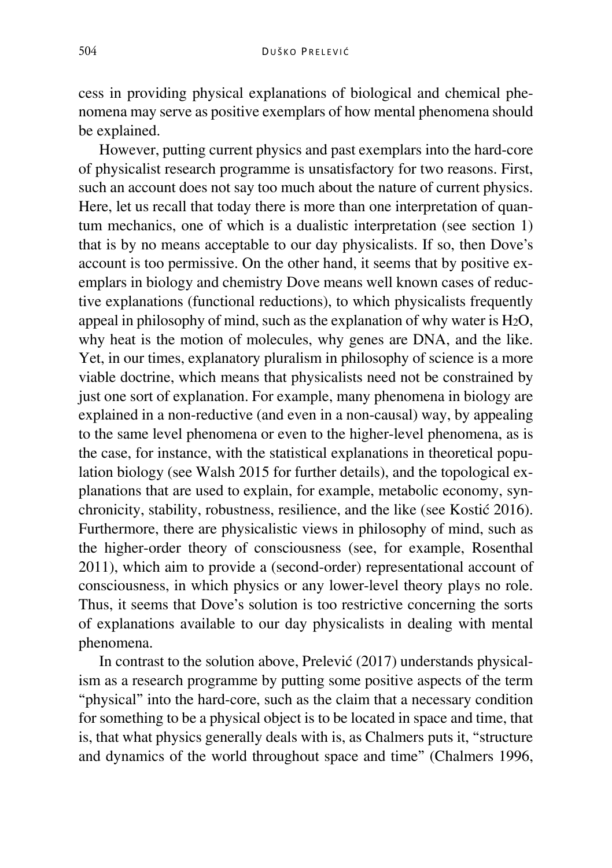cess in providing physical explanations of biological and chemical phenomena may serve as positive exemplars of how mental phenomena should be explained.

However, putting current physics and past exemplars into the hard-core of physicalist research programme is unsatisfactory for two reasons. First, such an account does not say too much about the nature of current physics. Here, let us recall that today there is more than one interpretation of quantum mechanics, one of which is a dualistic interpretation (see section 1) that is by no means acceptable to our day physicalists. If so, then Dove's account is too permissive. On the other hand, it seems that by positive exemplars in biology and chemistry Dove means well known cases of reductive explanations (functional reductions), to which physicalists frequently appeal in philosophy of mind, such as the explanation of why water is H2O, why heat is the motion of molecules, why genes are DNA, and the like. Yet, in our times, explanatory pluralism in philosophy of science is a more viable doctrine, which means that physicalists need not be constrained by just one sort of explanation. For example, many phenomena in biology are explained in a non-reductive (and even in a non-causal) way, by appealing to the same level phenomena or even to the higher-level phenomena, as is the case, for instance, with the statistical explanations in theoretical population biology (see Walsh 2015 for further details), and the topological explanations that are used to explain, for example, metabolic economy, synchronicity, stability, robustness, resilience, and the like (see Kostić 2016). Furthermore, there are physicalistic views in philosophy of mind, such as the higher-order theory of consciousness (see, for example, Rosenthal 2011), which aim to provide a (second-order) representational account of consciousness, in which physics or any lower-level theory plays no role. Thus, it seems that Dove's solution is too restrictive concerning the sorts of explanations available to our day physicalists in dealing with mental phenomena.

In contrast to the solution above, Prelević (2017) understands physicalism as a research programme by putting some positive aspects of the term "physical" into the hard-core, such as the claim that a necessary condition for something to be a physical object is to be located in space and time, that is, that what physics generally deals with is, as Chalmers puts it, "structure and dynamics of the world throughout space and time" (Chalmers 1996,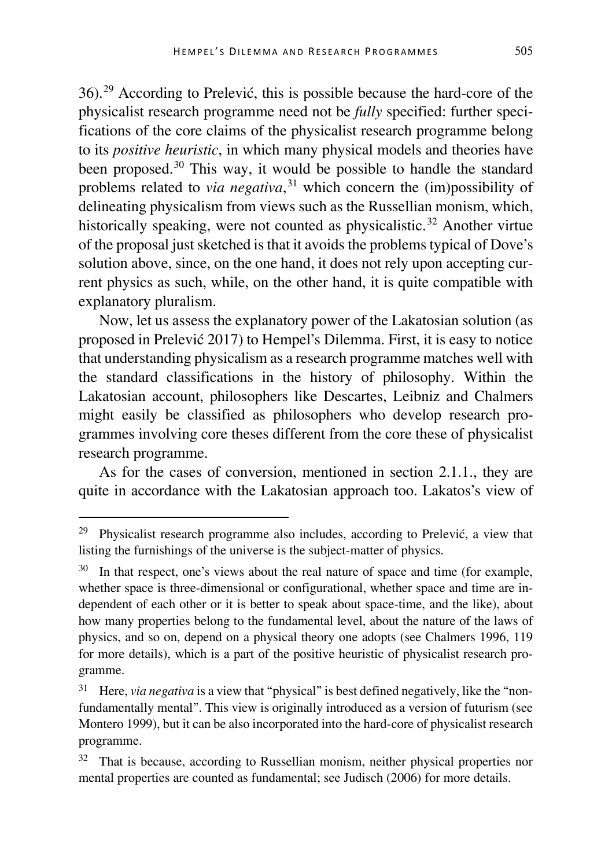36).[29](#page-18-0) According to Prelević, this is possible because the hard-core of the physicalist research programme need not be *fully* specified: further specifications of the core claims of the physicalist research programme belong to its *positive heuristic*, in which many physical models and theories have been proposed.<sup>[30](#page-18-1)</sup> This way, it would be possible to handle the standard problems related to *via negativa*, [31](#page-18-2) which concern the (im)possibility of delineating physicalism from views such as the Russellian monism, which, historically speaking, were not counted as physicalistic.<sup>[32](#page-18-3)</sup> Another virtue of the proposal just sketched is that it avoids the problems typical of Dove's solution above, since, on the one hand, it does not rely upon accepting current physics as such, while, on the other hand, it is quite compatible with explanatory pluralism.

Now, let us assess the explanatory power of the Lakatosian solution (as proposed in Prelević 2017) to Hempel's Dilemma. First, it is easy to notice that understanding physicalism as a research programme matches well with the standard classifications in the history of philosophy. Within the Lakatosian account, philosophers like Descartes, Leibniz and Chalmers might easily be classified as philosophers who develop research programmes involving core theses different from the core these of physicalist research programme.

As for the cases of conversion, mentioned in section 2.1.1., they are quite in accordance with the Lakatosian approach too. Lakatos's view of

<span id="page-18-0"></span> <sup>29</sup> Physicalist research programme also includes, according to Prelević, a view that listing the furnishings of the universe is the subject-matter of physics.

<span id="page-18-1"></span>In that respect, one's views about the real nature of space and time (for example, whether space is three-dimensional or configurational, whether space and time are independent of each other or it is better to speak about space-time, and the like), about how many properties belong to the fundamental level, about the nature of the laws of physics, and so on, depend on a physical theory one adopts (see Chalmers 1996, 119 for more details), which is a part of the positive heuristic of physicalist research programme.

<span id="page-18-2"></span><sup>&</sup>lt;sup>31</sup> Here, *via negativa* is a view that "physical" is best defined negatively, like the "nonfundamentally mental". This view is originally introduced as a version of futurism (see Montero 1999), but it can be also incorporated into the hard-core of physicalist research programme.

<span id="page-18-3"></span><sup>&</sup>lt;sup>32</sup> That is because, according to Russellian monism, neither physical properties nor mental properties are counted as fundamental; see Judisch (2006) for more details.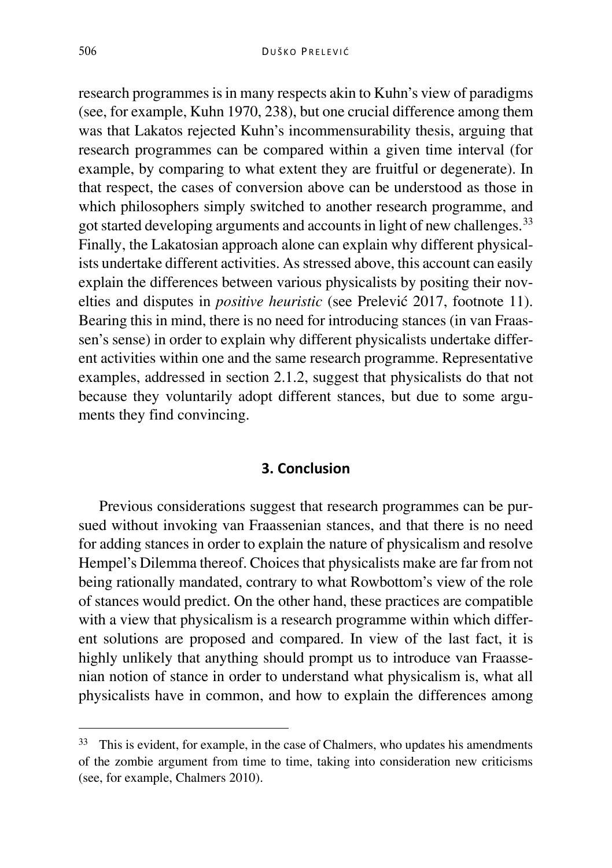research programmes is in many respects akin to Kuhn's view of paradigms (see, for example, Kuhn 1970, 238), but one crucial difference among them was that Lakatos rejected Kuhn's incommensurability thesis, arguing that research programmes can be compared within a given time interval (for example, by comparing to what extent they are fruitful or degenerate). In that respect, the cases of conversion above can be understood as those in which philosophers simply switched to another research programme, and got started developing arguments and accounts in light of new challenges.<sup>[33](#page-19-0)</sup> Finally, the Lakatosian approach alone can explain why different physicalists undertake different activities. As stressed above, this account can easily explain the differences between various physicalists by positing their novelties and disputes in *positive heuristic* (see Prelević 2017, footnote 11). Bearing this in mind, there is no need for introducing stances (in van Fraassen's sense) in order to explain why different physicalists undertake different activities within one and the same research programme. Representative examples, addressed in section 2.1.2, suggest that physicalists do that not because they voluntarily adopt different stances, but due to some arguments they find convincing.

## **3. Conclusion**

Previous considerations suggest that research programmes can be pursued without invoking van Fraassenian stances, and that there is no need for adding stances in order to explain the nature of physicalism and resolve Hempel's Dilemma thereof. Choices that physicalists make are far from not being rationally mandated, contrary to what Rowbottom's view of the role of stances would predict. On the other hand, these practices are compatible with a view that physicalism is a research programme within which different solutions are proposed and compared. In view of the last fact, it is highly unlikely that anything should prompt us to introduce van Fraassenian notion of stance in order to understand what physicalism is, what all physicalists have in common, and how to explain the differences among

<span id="page-19-0"></span><sup>&</sup>lt;sup>33</sup> This is evident, for example, in the case of Chalmers, who updates his amendments of the zombie argument from time to time, taking into consideration new criticisms (see, for example, Chalmers 2010).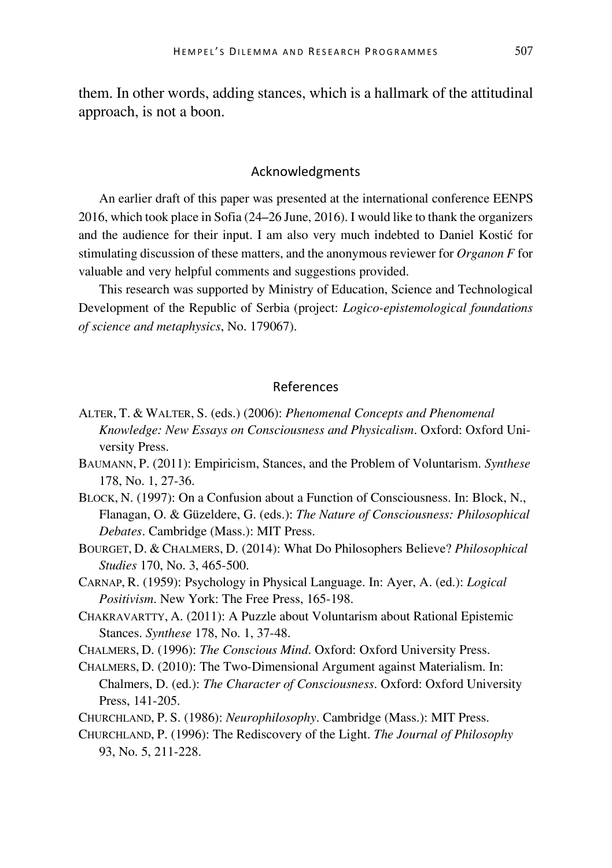them. In other words, adding stances, which is a hallmark of the attitudinal approach, is not a boon.

#### Acknowledgments

An earlier draft of this paper was presented at the international conference EENPS 2016, which took place in Sofia (24–26 June, 2016). I would like to thank the organizers and the audience for their input. I am also very much indebted to Daniel Kostić for stimulating discussion of these matters, and the anonymous reviewer for *Organon F* for valuable and very helpful comments and suggestions provided.

This research was supported by Ministry of Education, Science and Technological Development of the Republic of Serbia (project: *Logico-epistemological foundations of science and metaphysics*, No. 179067).

### References

- ALTER, T. & WALTER, S. (eds.) (2006): *Phenomenal Concepts and Phenomenal Knowledge: New Essays on Consciousness and Physicalism*. Oxford: Oxford University Press.
- BAUMANN, P. (2011): Empiricism, Stances, and the Problem of Voluntarism. *Synthese* 178, No. 1, 27-36.
- BLOCK, N. (1997): On a Confusion about a Function of Consciousness. In: Block, N., Flanagan, O. & Güzeldere, G. (eds.): *The Nature of Consciousness: Philosophical Debates*. Cambridge (Mass.): MIT Press.
- BOURGET, D. & CHALMERS, D. (2014): What Do Philosophers Believe? *Philosophical Studies* 170, No. 3, 465-500.
- CARNAP, R. (1959): Psychology in Physical Language. In: Ayer, A. (ed.): *Logical Positivism*. New York: The Free Press, 165-198.
- CHAKRAVARTTY, A. (2011): A Puzzle about Voluntarism about Rational Epistemic Stances. *Synthese* 178, No. 1, 37-48.
- CHALMERS, D. (1996): *The Conscious Mind*. Oxford: Oxford University Press.
- CHALMERS, D. (2010): The Two-Dimensional Argument against Materialism. In: Chalmers, D. (ed.): *The Character of Consciousness*. Oxford: Oxford University Press, 141-205.
- CHURCHLAND, P. S. (1986): *Neurophilosophy*. Cambridge (Mass.): MIT Press.
- CHURCHLAND, P. (1996): The Rediscovery of the Light. *The Journal of Philosophy* 93, No. 5, 211-228.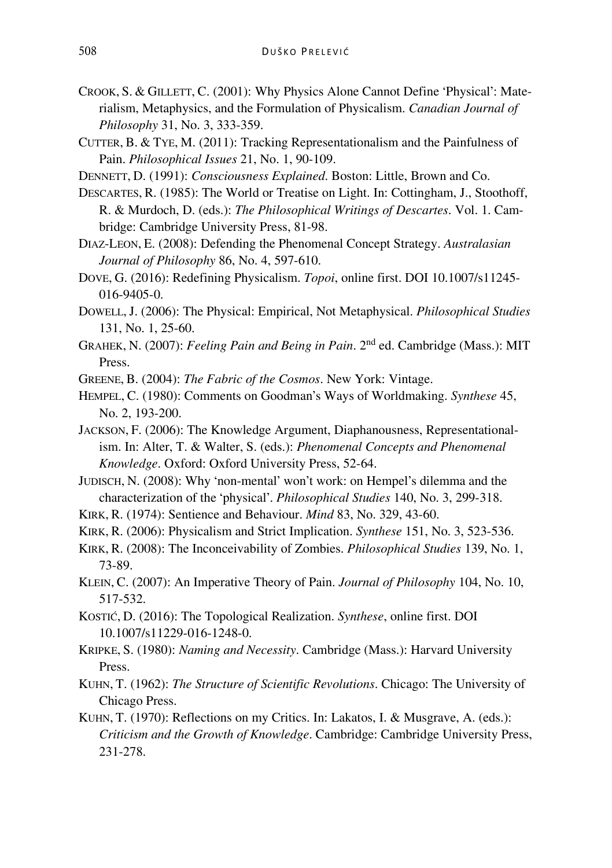- CROOK, S. & GILLETT, C. (2001): Why Physics Alone Cannot Define 'Physical': Materialism, Metaphysics, and the Formulation of Physicalism. *Canadian Journal of Philosophy* 31, No. 3, 333-359.
- CUTTER, B. & TYE, M. (2011): Tracking Representationalism and the Painfulness of Pain. *Philosophical Issues* 21, No. 1, 90-109.
- DENNETT, D. (1991): *Consciousness Explained*. Boston: Little, Brown and Co.
- DESCARTES, R. (1985): The World or Treatise on Light. In: Cottingham, J., Stoothoff, R. & Murdoch, D. (eds.): *The Philosophical Writings of Descartes*. Vol. 1. Cambridge: Cambridge University Press, 81-98.
- DIAZ-LEON, E. (2008): Defending the Phenomenal Concept Strategy. *Australasian Journal of Philosophy* 86, No. 4, 597-610.
- DOVE, G. (2016): Redefining Physicalism. *Topoi*, online first. DOI 10.1007/s11245- 016-9405-0.
- DOWELL, J. (2006): The Physical: Empirical, Not Metaphysical. *Philosophical Studies* 131, No. 1, 25-60.
- GRAHEK, N. (2007): *Feeling Pain and Being in Pain*. 2nd ed. Cambridge (Mass.): MIT Press.
- GREENE, B. (2004): *The Fabric of the Cosmos*. New York: Vintage.
- HEMPEL, C. (1980): Comments on Goodman's Ways of Worldmaking. *Synthese* 45, No. 2, 193-200.
- JACKSON, F. (2006): The Knowledge Argument, Diaphanousness, Representationalism. In: Alter, T. & Walter, S. (eds.): *Phenomenal Concepts and Phenomenal Knowledge*. Oxford: Oxford University Press, 52-64.
- JUDISCH, N. (2008): Why 'non-mental' won't work: on Hempel's dilemma and the characterization of the 'physical'. *Philosophical Studies* 140, No. 3, 299-318.
- KIRK, R. (1974): Sentience and Behaviour. *Mind* 83, No. 329, 43-60.
- KIRK, R. (2006): Physicalism and Strict Implication. *Synthese* 151, No. 3, 523-536.
- KIRK, R. (2008): The Inconceivability of Zombies. *Philosophical Studies* 139, No. 1, 73-89.
- KLEIN, C. (2007): An Imperative Theory of Pain. *Journal of Philosophy* 104, No. 10, 517-532.
- KOSTIĆ, D. (2016): The Topological Realization. *Synthese*, online first. DOI 10.1007/s11229-016-1248-0.
- KRIPKE, S. (1980): *Naming and Necessity*. Cambridge (Mass.): Harvard University Press.
- KUHN, T. (1962): *The Structure of Scientific Revolutions*. Chicago: The University of Chicago Press.
- KUHN, T. (1970): Reflections on my Critics. In: Lakatos, I. & Musgrave, A. (eds.): *Criticism and the Growth of Knowledge*. Cambridge: Cambridge University Press, 231-278.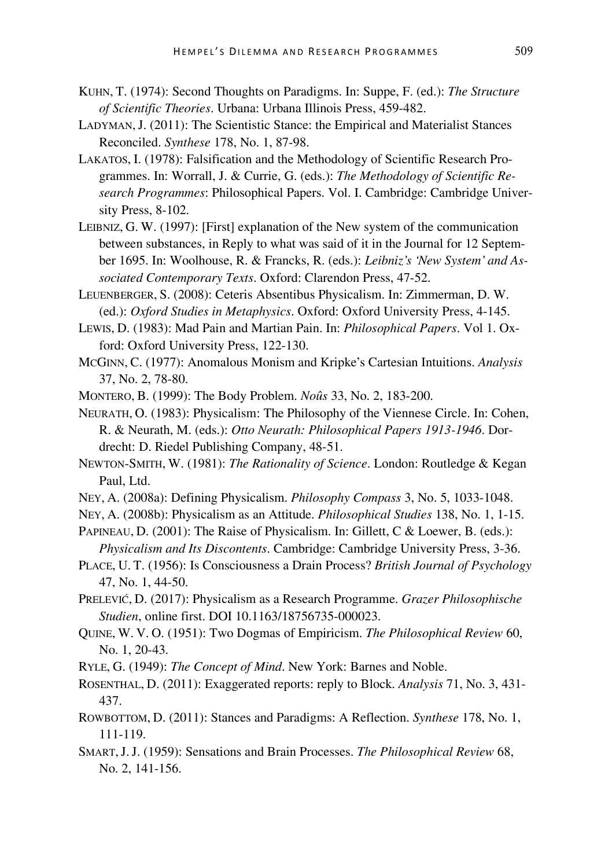- KUHN, T. (1974): Second Thoughts on Paradigms. In: Suppe, F. (ed.): *The Structure of Scientific Theories*. Urbana: Urbana Illinois Press, 459-482.
- LADYMAN,J. (2011): The Scientistic Stance: the Empirical and Materialist Stances Reconciled. *Synthese* 178, No. 1, 87-98.
- LAKATOS, I. (1978): Falsification and the Methodology of Scientific Research Programmes. In: Worrall, J. & Currie, G. (eds.): *The Methodology of Scientific Research Programmes*: Philosophical Papers. Vol. I. Cambridge: Cambridge University Press, 8-102.
- LEIBNIZ, G. W. (1997): [First] explanation of the New system of the communication between substances, in Reply to what was said of it in the Journal for 12 September 1695. In: Woolhouse, R. & Francks, R. (eds.): *Leibniz's 'New System' and Associated Contemporary Texts*. Oxford: Clarendon Press, 47-52.
- LEUENBERGER, S. (2008): Ceteris Absentibus Physicalism. In: Zimmerman, D. W. (ed.): *Oxford Studies in Metaphysics*. Oxford: Oxford University Press, 4-145.
- LEWIS, D. (1983): Mad Pain and Martian Pain. In: *Philosophical Papers*. Vol 1. Oxford: Oxford University Press, 122-130.
- MCGINN, C. (1977): Anomalous Monism and Kripke's Cartesian Intuitions. *Analysis* 37, No. 2, 78-80.
- MONTERO, B. (1999): The Body Problem. *Noûs* 33, No. 2, 183-200.
- NEURATH, O. (1983): Physicalism: The Philosophy of the Viennese Circle. In: Cohen, R. & Neurath, M. (eds.): *Otto Neurath: Philosophical Papers 1913-1946*. Dordrecht: D. Riedel Publishing Company, 48-51.
- NEWTON-SMITH, W. (1981): *The Rationality of Science*. London: Routledge & Kegan Paul, Ltd.
- NEY, A. (2008a): Defining Physicalism. *Philosophy Compass* 3, No. 5, 1033-1048.
- NEY, A. (2008b): Physicalism as an Attitude. *Philosophical Studies* 138, No. 1, 1-15.
- PAPINEAU, D. (2001): The Raise of Physicalism. In: Gillett, C & Loewer, B. (eds.): *Physicalism and Its Discontents*. Cambridge: Cambridge University Press, 3-36.
- PLACE, U. T. (1956): Is Consciousness a Drain Process? *British Journal of Psychology* 47, No. 1, 44-50.
- PRELEVIĆ, D. (2017): Physicalism as a Research Programme. *Grazer Philosophische Studien*, online first. DOI 10.1163/18756735-000023.
- QUINE, W. V. O. (1951): Two Dogmas of Empiricism. *The Philosophical Review* 60, No. 1, 20-43.
- RYLE, G. (1949): *The Concept of Mind*. New York: Barnes and Noble.
- ROSENTHAL, D. (2011): Exaggerated reports: reply to Block. *Analysis* 71, No. 3, 431- 437.
- ROWBOTTOM, D. (2011): Stances and Paradigms: A Reflection. *Synthese* 178, No. 1, 111-119.
- SMART,J.J. (1959): Sensations and Brain Processes. *The Philosophical Review* 68, No. 2, 141-156.